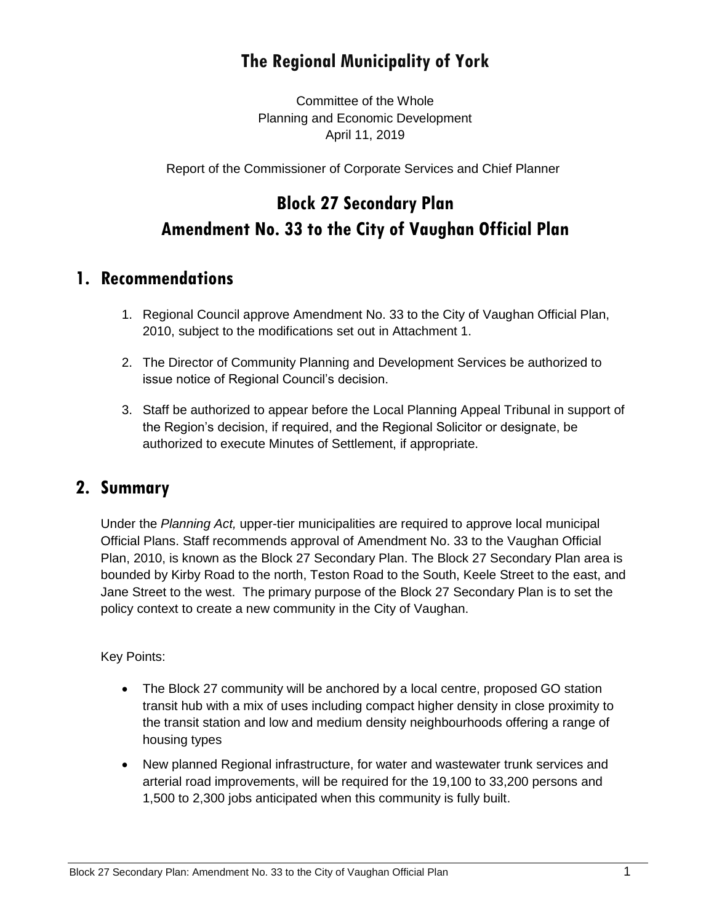# **The Regional Municipality of York**

Committee of the Whole Planning and Economic Development April 11, 2019

Report of the Commissioner of Corporate Services and Chief Planner

# **Block 27 Secondary Plan Amendment No. 33 to the City of Vaughan Official Plan**

### **1. Recommendations**

- 1. Regional Council approve Amendment No. 33 to the City of Vaughan Official Plan, 2010, subject to the modifications set out in Attachment 1.
- 2. The Director of Community Planning and Development Services be authorized to issue notice of Regional Council's decision.
- 3. Staff be authorized to appear before the Local Planning Appeal Tribunal in support of the Region's decision, if required, and the Regional Solicitor or designate, be authorized to execute Minutes of Settlement, if appropriate.

### **2. Summary**

Under the *Planning Act,* upper-tier municipalities are required to approve local municipal Official Plans. Staff recommends approval of Amendment No. 33 to the Vaughan Official Plan, 2010, is known as the Block 27 Secondary Plan. The Block 27 Secondary Plan area is bounded by Kirby Road to the north, Teston Road to the South, Keele Street to the east, and Jane Street to the west. The primary purpose of the Block 27 Secondary Plan is to set the policy context to create a new community in the City of Vaughan.

Key Points:

- The Block 27 community will be anchored by a local centre, proposed GO station transit hub with a mix of uses including compact higher density in close proximity to the transit station and low and medium density neighbourhoods offering a range of housing types
- New planned Regional infrastructure, for water and wastewater trunk services and arterial road improvements, will be required for the 19,100 to 33,200 persons and 1,500 to 2,300 jobs anticipated when this community is fully built.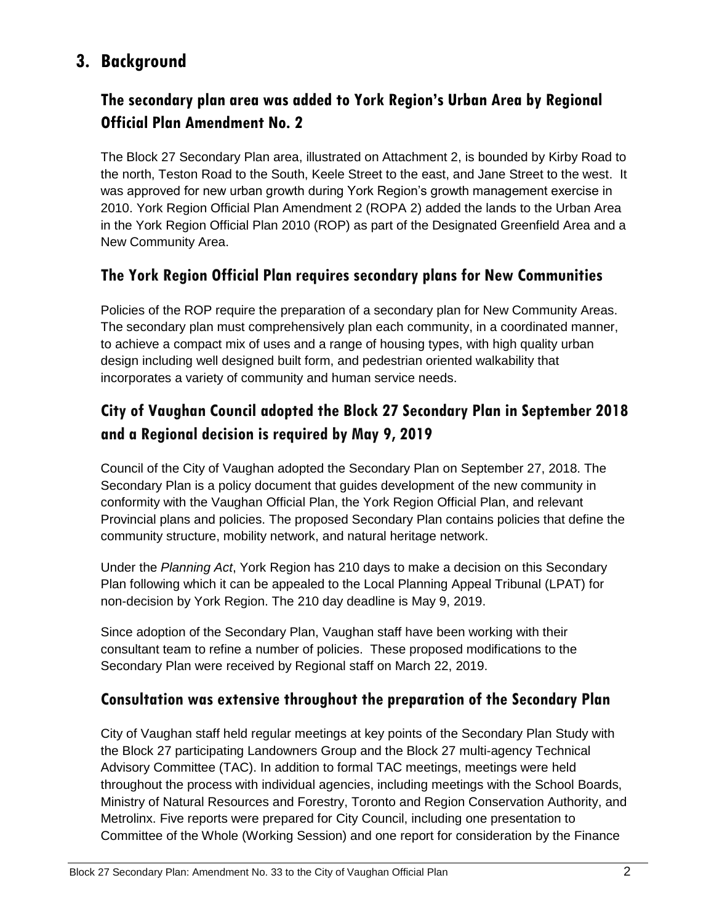# **3. Background**

## **The secondary plan area was added to York Region's Urban Area by Regional Official Plan Amendment No. 2**

The Block 27 Secondary Plan area, illustrated on Attachment 2, is bounded by Kirby Road to the north, Teston Road to the South, Keele Street to the east, and Jane Street to the west. It was approved for new urban growth during York Region's growth management exercise in 2010. York Region Official Plan Amendment 2 (ROPA 2) added the lands to the Urban Area in the York Region Official Plan 2010 (ROP) as part of the Designated Greenfield Area and a New Community Area.

#### **The York Region Official Plan requires secondary plans for New Communities**

Policies of the ROP require the preparation of a secondary plan for New Community Areas. The secondary plan must comprehensively plan each community, in a coordinated manner, to achieve a compact mix of uses and a range of housing types, with high quality urban design including well designed built form, and pedestrian oriented walkability that incorporates a variety of community and human service needs.

## **City of Vaughan Council adopted the Block 27 Secondary Plan in September 2018 and a Regional decision is required by May 9, 2019**

Council of the City of Vaughan adopted the Secondary Plan on September 27, 2018. The Secondary Plan is a policy document that guides development of the new community in conformity with the Vaughan Official Plan, the York Region Official Plan, and relevant Provincial plans and policies. The proposed Secondary Plan contains policies that define the community structure, mobility network, and natural heritage network.

Under the *Planning Act*, York Region has 210 days to make a decision on this Secondary Plan following which it can be appealed to the Local Planning Appeal Tribunal (LPAT) for non-decision by York Region. The 210 day deadline is May 9, 2019.

Since adoption of the Secondary Plan, Vaughan staff have been working with their consultant team to refine a number of policies. These proposed modifications to the Secondary Plan were received by Regional staff on March 22, 2019.

#### **Consultation was extensive throughout the preparation of the Secondary Plan**

City of Vaughan staff held regular meetings at key points of the Secondary Plan Study with the Block 27 participating Landowners Group and the Block 27 multi-agency Technical Advisory Committee (TAC). In addition to formal TAC meetings, meetings were held throughout the process with individual agencies, including meetings with the School Boards, Ministry of Natural Resources and Forestry, Toronto and Region Conservation Authority, and Metrolinx. Five reports were prepared for City Council, including one presentation to Committee of the Whole (Working Session) and one report for consideration by the Finance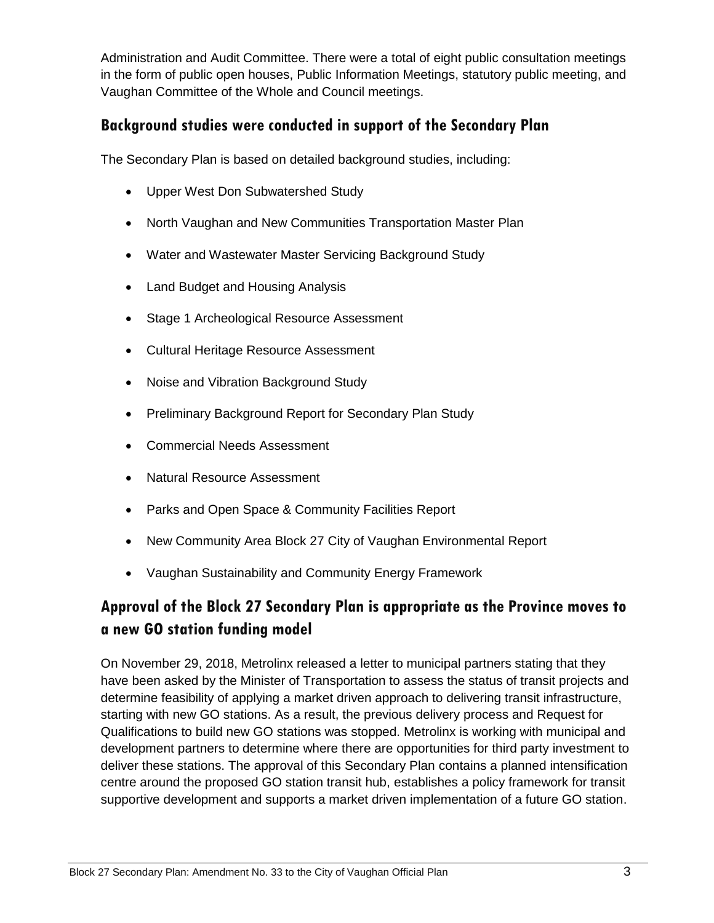Administration and Audit Committee. There were a total of eight public consultation meetings in the form of public open houses, Public Information Meetings, statutory public meeting, and Vaughan Committee of the Whole and Council meetings.

#### **Background studies were conducted in support of the Secondary Plan**

The Secondary Plan is based on detailed background studies, including:

- Upper West Don Subwatershed Study
- North Vaughan and New Communities Transportation Master Plan
- Water and Wastewater Master Servicing Background Study
- Land Budget and Housing Analysis
- Stage 1 Archeological Resource Assessment
- Cultural Heritage Resource Assessment
- Noise and Vibration Background Study
- Preliminary Background Report for Secondary Plan Study
- Commercial Needs Assessment
- Natural Resource Assessment
- Parks and Open Space & Community Facilities Report
- New Community Area Block 27 City of Vaughan Environmental Report
- Vaughan Sustainability and Community Energy Framework

### **Approval of the Block 27 Secondary Plan is appropriate as the Province moves to a new GO station funding model**

On November 29, 2018, Metrolinx released a letter to municipal partners stating that they have been asked by the Minister of Transportation to assess the status of transit projects and determine feasibility of applying a market driven approach to delivering transit infrastructure, starting with new GO stations. As a result, the previous delivery process and Request for Qualifications to build new GO stations was stopped. Metrolinx is working with municipal and development partners to determine where there are opportunities for third party investment to deliver these stations. The approval of this Secondary Plan contains a planned intensification centre around the proposed GO station transit hub, establishes a policy framework for transit supportive development and supports a market driven implementation of a future GO station.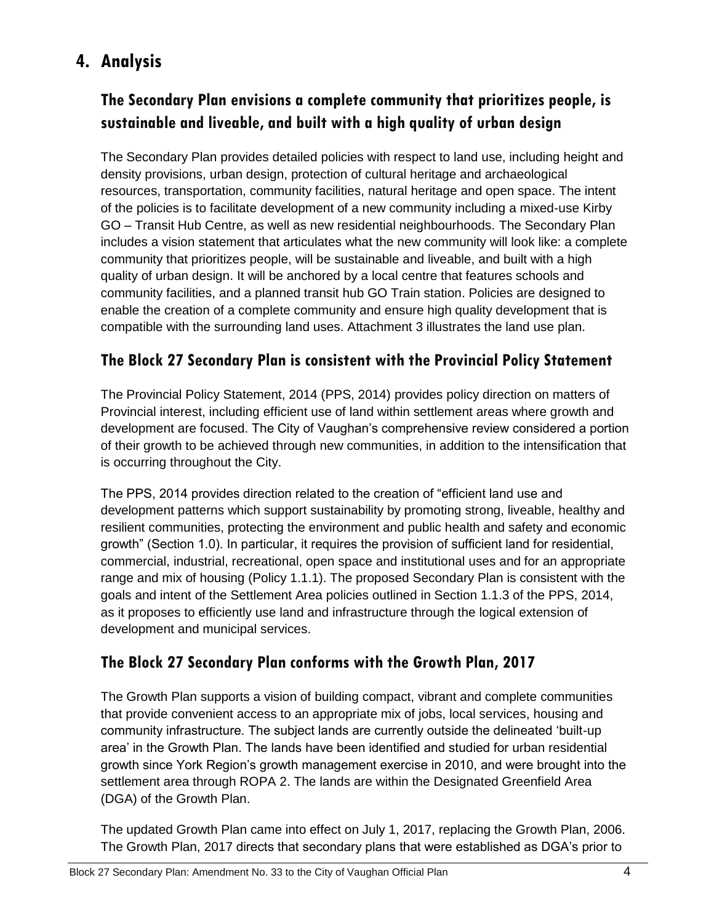# **4. Analysis**

# **The Secondary Plan envisions a complete community that prioritizes people, is sustainable and liveable, and built with a high quality of urban design**

The Secondary Plan provides detailed policies with respect to land use, including height and density provisions, urban design, protection of cultural heritage and archaeological resources, transportation, community facilities, natural heritage and open space. The intent of the policies is to facilitate development of a new community including a mixed-use Kirby GO – Transit Hub Centre, as well as new residential neighbourhoods. The Secondary Plan includes a vision statement that articulates what the new community will look like: a complete community that prioritizes people, will be sustainable and liveable, and built with a high quality of urban design. It will be anchored by a local centre that features schools and community facilities, and a planned transit hub GO Train station. Policies are designed to enable the creation of a complete community and ensure high quality development that is compatible with the surrounding land uses. Attachment 3 illustrates the land use plan.

### **The Block 27 Secondary Plan is consistent with the Provincial Policy Statement**

The Provincial Policy Statement, 2014 (PPS, 2014) provides policy direction on matters of Provincial interest, including efficient use of land within settlement areas where growth and development are focused. The City of Vaughan's comprehensive review considered a portion of their growth to be achieved through new communities, in addition to the intensification that is occurring throughout the City.

The PPS, 2014 provides direction related to the creation of "efficient land use and development patterns which support sustainability by promoting strong, liveable, healthy and resilient communities, protecting the environment and public health and safety and economic growth" (Section 1.0). In particular, it requires the provision of sufficient land for residential, commercial, industrial, recreational, open space and institutional uses and for an appropriate range and mix of housing (Policy 1.1.1). The proposed Secondary Plan is consistent with the goals and intent of the Settlement Area policies outlined in Section 1.1.3 of the PPS, 2014, as it proposes to efficiently use land and infrastructure through the logical extension of development and municipal services.

### **The Block 27 Secondary Plan conforms with the Growth Plan, 2017**

The Growth Plan supports a vision of building compact, vibrant and complete communities that provide convenient access to an appropriate mix of jobs, local services, housing and community infrastructure. The subject lands are currently outside the delineated 'built-up area' in the Growth Plan. The lands have been identified and studied for urban residential growth since York Region's growth management exercise in 2010, and were brought into the settlement area through ROPA 2. The lands are within the Designated Greenfield Area (DGA) of the Growth Plan.

The updated Growth Plan came into effect on July 1, 2017, replacing the Growth Plan, 2006. The Growth Plan, 2017 directs that secondary plans that were established as DGA's prior to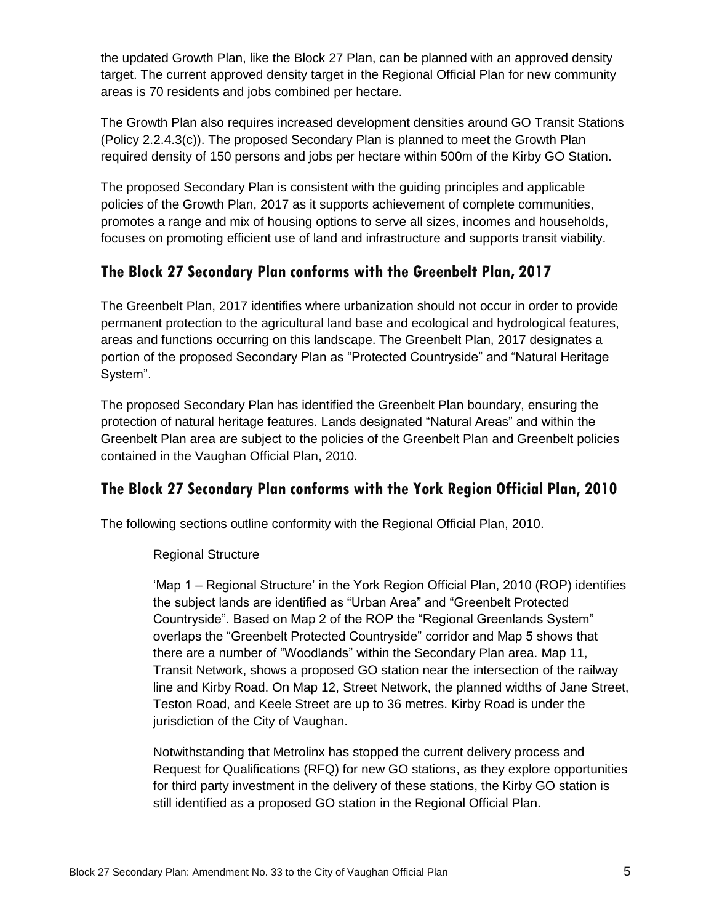the updated Growth Plan, like the Block 27 Plan, can be planned with an approved density target. The current approved density target in the Regional Official Plan for new community areas is 70 residents and jobs combined per hectare.

The Growth Plan also requires increased development densities around GO Transit Stations (Policy 2.2.4.3(c)). The proposed Secondary Plan is planned to meet the Growth Plan required density of 150 persons and jobs per hectare within 500m of the Kirby GO Station.

The proposed Secondary Plan is consistent with the guiding principles and applicable policies of the Growth Plan, 2017 as it supports achievement of complete communities, promotes a range and mix of housing options to serve all sizes, incomes and households, focuses on promoting efficient use of land and infrastructure and supports transit viability.

### **The Block 27 Secondary Plan conforms with the Greenbelt Plan, 2017**

The Greenbelt Plan, 2017 identifies where urbanization should not occur in order to provide permanent protection to the agricultural land base and ecological and hydrological features, areas and functions occurring on this landscape. The Greenbelt Plan, 2017 designates a portion of the proposed Secondary Plan as "Protected Countryside" and "Natural Heritage System".

The proposed Secondary Plan has identified the Greenbelt Plan boundary, ensuring the protection of natural heritage features. Lands designated "Natural Areas" and within the Greenbelt Plan area are subject to the policies of the Greenbelt Plan and Greenbelt policies contained in the Vaughan Official Plan, 2010.

### **The Block 27 Secondary Plan conforms with the York Region Official Plan, 2010**

The following sections outline conformity with the Regional Official Plan, 2010.

#### Regional Structure

'Map 1 – Regional Structure' in the York Region Official Plan, 2010 (ROP) identifies the subject lands are identified as "Urban Area" and "Greenbelt Protected Countryside". Based on Map 2 of the ROP the "Regional Greenlands System" overlaps the "Greenbelt Protected Countryside" corridor and Map 5 shows that there are a number of "Woodlands" within the Secondary Plan area. Map 11, Transit Network, shows a proposed GO station near the intersection of the railway line and Kirby Road. On Map 12, Street Network, the planned widths of Jane Street, Teston Road, and Keele Street are up to 36 metres. Kirby Road is under the jurisdiction of the City of Vaughan.

Notwithstanding that Metrolinx has stopped the current delivery process and Request for Qualifications (RFQ) for new GO stations, as they explore opportunities for third party investment in the delivery of these stations, the Kirby GO station is still identified as a proposed GO station in the Regional Official Plan.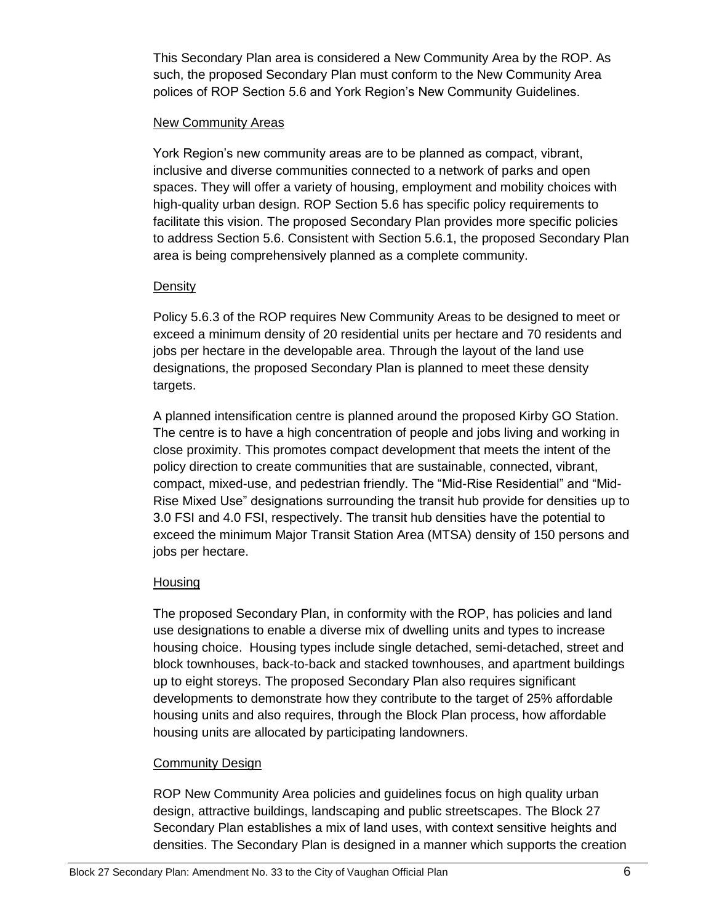This Secondary Plan area is considered a New Community Area by the ROP. As such, the proposed Secondary Plan must conform to the New Community Area polices of ROP Section 5.6 and York Region's New Community Guidelines.

#### New Community Areas

York Region's new community areas are to be planned as compact, vibrant, inclusive and diverse communities connected to a network of parks and open spaces. They will offer a variety of housing, employment and mobility choices with high-quality urban design. ROP Section 5.6 has specific policy requirements to facilitate this vision. The proposed Secondary Plan provides more specific policies to address Section 5.6. Consistent with Section 5.6.1, the proposed Secondary Plan area is being comprehensively planned as a complete community.

#### **Density**

Policy 5.6.3 of the ROP requires New Community Areas to be designed to meet or exceed a minimum density of 20 residential units per hectare and 70 residents and jobs per hectare in the developable area. Through the layout of the land use designations, the proposed Secondary Plan is planned to meet these density targets.

A planned intensification centre is planned around the proposed Kirby GO Station. The centre is to have a high concentration of people and jobs living and working in close proximity. This promotes compact development that meets the intent of the policy direction to create communities that are sustainable, connected, vibrant, compact, mixed-use, and pedestrian friendly. The "Mid-Rise Residential" and "Mid-Rise Mixed Use" designations surrounding the transit hub provide for densities up to 3.0 FSI and 4.0 FSI, respectively. The transit hub densities have the potential to exceed the minimum Major Transit Station Area (MTSA) density of 150 persons and jobs per hectare.

#### **Housing**

The proposed Secondary Plan, in conformity with the ROP, has policies and land use designations to enable a diverse mix of dwelling units and types to increase housing choice. Housing types include single detached, semi-detached, street and block townhouses, back-to-back and stacked townhouses, and apartment buildings up to eight storeys. The proposed Secondary Plan also requires significant developments to demonstrate how they contribute to the target of 25% affordable housing units and also requires, through the Block Plan process, how affordable housing units are allocated by participating landowners.

#### Community Design

ROP New Community Area policies and guidelines focus on high quality urban design, attractive buildings, landscaping and public streetscapes. The Block 27 Secondary Plan establishes a mix of land uses, with context sensitive heights and densities. The Secondary Plan is designed in a manner which supports the creation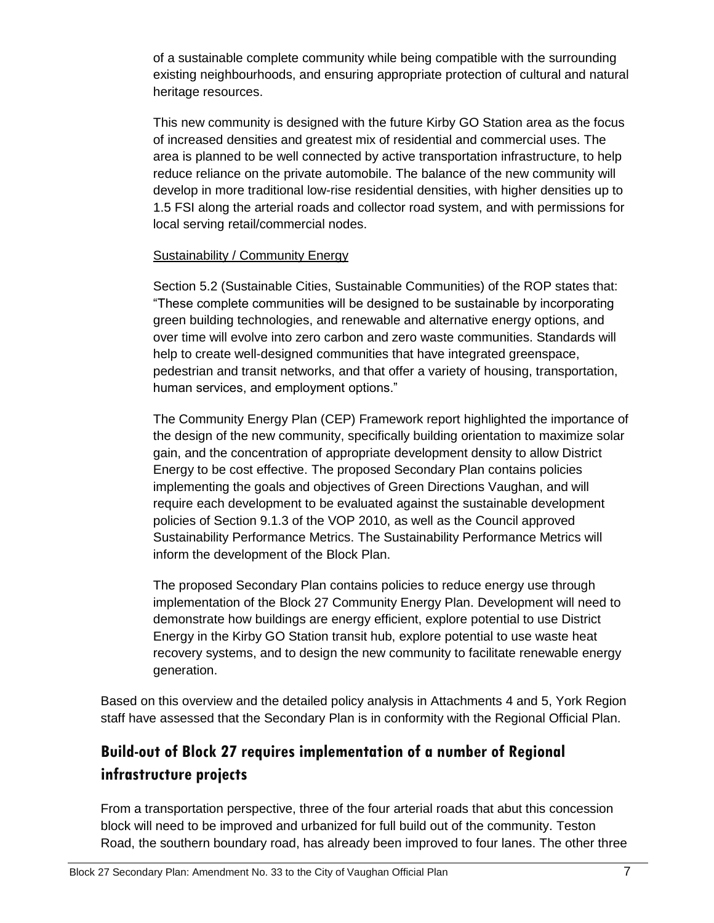of a sustainable complete community while being compatible with the surrounding existing neighbourhoods, and ensuring appropriate protection of cultural and natural heritage resources.

This new community is designed with the future Kirby GO Station area as the focus of increased densities and greatest mix of residential and commercial uses. The area is planned to be well connected by active transportation infrastructure, to help reduce reliance on the private automobile. The balance of the new community will develop in more traditional low-rise residential densities, with higher densities up to 1.5 FSI along the arterial roads and collector road system, and with permissions for local serving retail/commercial nodes.

#### Sustainability / Community Energy

Section 5.2 (Sustainable Cities, Sustainable Communities) of the ROP states that: "These complete communities will be designed to be sustainable by incorporating green building technologies, and renewable and alternative energy options, and over time will evolve into zero carbon and zero waste communities. Standards will help to create well-designed communities that have integrated greenspace, pedestrian and transit networks, and that offer a variety of housing, transportation, human services, and employment options."

The Community Energy Plan (CEP) Framework report highlighted the importance of the design of the new community, specifically building orientation to maximize solar gain, and the concentration of appropriate development density to allow District Energy to be cost effective. The proposed Secondary Plan contains policies implementing the goals and objectives of Green Directions Vaughan, and will require each development to be evaluated against the sustainable development policies of Section 9.1.3 of the VOP 2010, as well as the Council approved Sustainability Performance Metrics. The Sustainability Performance Metrics will inform the development of the Block Plan.

The proposed Secondary Plan contains policies to reduce energy use through implementation of the Block 27 Community Energy Plan. Development will need to demonstrate how buildings are energy efficient, explore potential to use District Energy in the Kirby GO Station transit hub, explore potential to use waste heat recovery systems, and to design the new community to facilitate renewable energy generation.

Based on this overview and the detailed policy analysis in Attachments 4 and 5, York Region staff have assessed that the Secondary Plan is in conformity with the Regional Official Plan.

# **Build-out of Block 27 requires implementation of a number of Regional infrastructure projects**

From a transportation perspective, three of the four arterial roads that abut this concession block will need to be improved and urbanized for full build out of the community. Teston Road, the southern boundary road, has already been improved to four lanes. The other three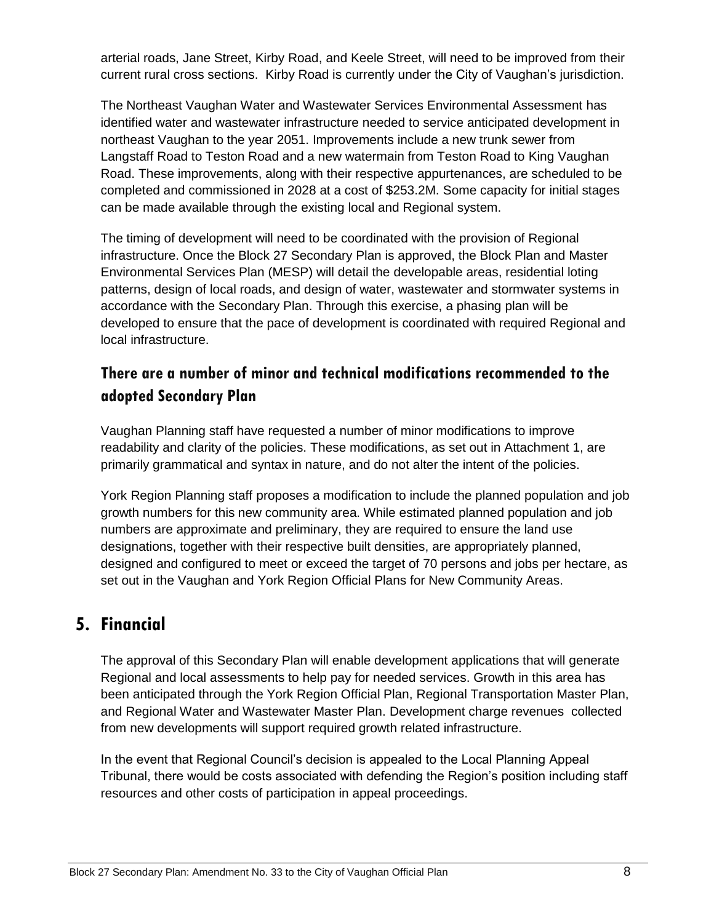arterial roads, Jane Street, Kirby Road, and Keele Street, will need to be improved from their current rural cross sections. Kirby Road is currently under the City of Vaughan's jurisdiction.

The Northeast Vaughan Water and Wastewater Services Environmental Assessment has identified water and wastewater infrastructure needed to service anticipated development in northeast Vaughan to the year 2051. Improvements include a new trunk sewer from Langstaff Road to Teston Road and a new watermain from Teston Road to King Vaughan Road. These improvements, along with their respective appurtenances, are scheduled to be completed and commissioned in 2028 at a cost of \$253.2M. Some capacity for initial stages can be made available through the existing local and Regional system.

The timing of development will need to be coordinated with the provision of Regional infrastructure. Once the Block 27 Secondary Plan is approved, the Block Plan and Master Environmental Services Plan (MESP) will detail the developable areas, residential loting patterns, design of local roads, and design of water, wastewater and stormwater systems in accordance with the Secondary Plan. Through this exercise, a phasing plan will be developed to ensure that the pace of development is coordinated with required Regional and local infrastructure.

### **There are a number of minor and technical modifications recommended to the adopted Secondary Plan**

Vaughan Planning staff have requested a number of minor modifications to improve readability and clarity of the policies. These modifications, as set out in Attachment 1, are primarily grammatical and syntax in nature, and do not alter the intent of the policies.

York Region Planning staff proposes a modification to include the planned population and job growth numbers for this new community area. While estimated planned population and job numbers are approximate and preliminary, they are required to ensure the land use designations, together with their respective built densities, are appropriately planned, designed and configured to meet or exceed the target of 70 persons and jobs per hectare, as set out in the Vaughan and York Region Official Plans for New Community Areas.

## **5. Financial**

The approval of this Secondary Plan will enable development applications that will generate Regional and local assessments to help pay for needed services. Growth in this area has been anticipated through the York Region Official Plan, Regional Transportation Master Plan, and Regional Water and Wastewater Master Plan. Development charge revenues collected from new developments will support required growth related infrastructure.

In the event that Regional Council's decision is appealed to the Local Planning Appeal Tribunal, there would be costs associated with defending the Region's position including staff resources and other costs of participation in appeal proceedings.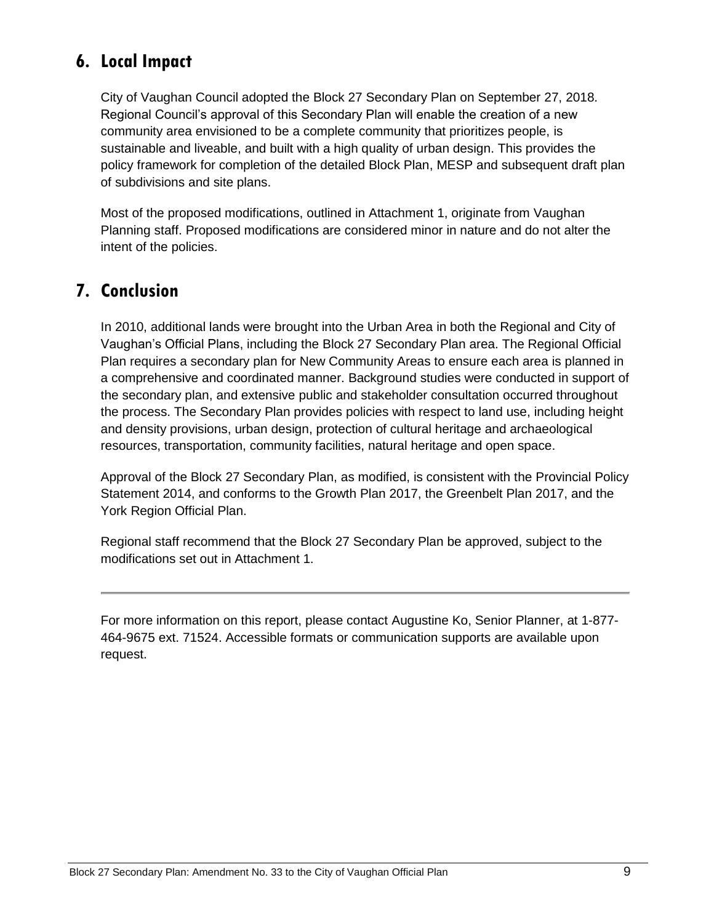# **6. Local Impact**

City of Vaughan Council adopted the Block 27 Secondary Plan on September 27, 2018. Regional Council's approval of this Secondary Plan will enable the creation of a new community area envisioned to be a complete community that prioritizes people, is sustainable and liveable, and built with a high quality of urban design. This provides the policy framework for completion of the detailed Block Plan, MESP and subsequent draft plan of subdivisions and site plans.

Most of the proposed modifications, outlined in Attachment 1, originate from Vaughan Planning staff. Proposed modifications are considered minor in nature and do not alter the intent of the policies.

## **7. Conclusion**

In 2010, additional lands were brought into the Urban Area in both the Regional and City of Vaughan's Official Plans, including the Block 27 Secondary Plan area. The Regional Official Plan requires a secondary plan for New Community Areas to ensure each area is planned in a comprehensive and coordinated manner. Background studies were conducted in support of the secondary plan, and extensive public and stakeholder consultation occurred throughout the process. The Secondary Plan provides policies with respect to land use, including height and density provisions, urban design, protection of cultural heritage and archaeological resources, transportation, community facilities, natural heritage and open space.

Approval of the Block 27 Secondary Plan, as modified, is consistent with the Provincial Policy Statement 2014, and conforms to the Growth Plan 2017, the Greenbelt Plan 2017, and the York Region Official Plan.

Regional staff recommend that the Block 27 Secondary Plan be approved, subject to the modifications set out in Attachment 1.

For more information on this report, please contact Augustine Ko, Senior Planner, at 1-877- 464-9675 ext. 71524. Accessible formats or communication supports are available upon request.